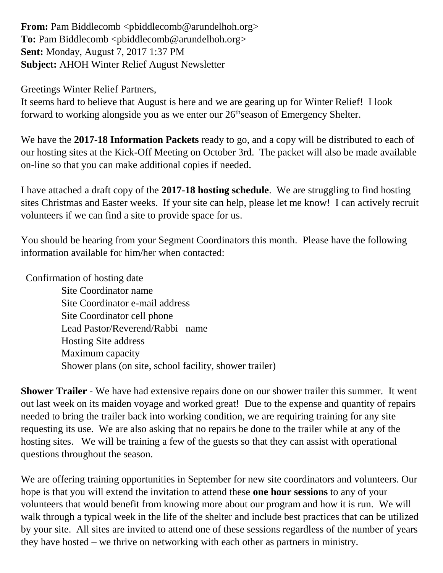**From:** Pam Biddlecomb <pbiddlecomb@arundelhoh.org> To: Pam Biddlecomb <pbiddlecomb@arundelhoh.org> **Sent:** Monday, August 7, 2017 1:37 PM **Subject:** AHOH Winter Relief August Newsletter

Greetings Winter Relief Partners,

It seems hard to believe that August is here and we are gearing up for Winter Relief! I look forward to working alongside you as we enter our  $26<sup>th</sup>$  season of Emergency Shelter.

We have the **2017-18 Information Packets** ready to go, and a copy will be distributed to each of our hosting sites at the Kick-Off Meeting on October 3rd. The packet will also be made available on-line so that you can make additional copies if needed.

I have attached a draft copy of the **2017-18 hosting schedule**. We are struggling to find hosting sites Christmas and Easter weeks. If your site can help, please let me know! I can actively recruit volunteers if we can find a site to provide space for us.

You should be hearing from your Segment Coordinators this month. Please have the following information available for him/her when contacted:

Confirmation of hosting date

 Site Coordinator name Site Coordinator e-mail address Site Coordinator cell phone Lead Pastor/Reverend/Rabbi name Hosting Site address Maximum capacity Shower plans (on site, school facility, shower trailer)

**Shower Trailer** - We have had extensive repairs done on our shower trailer this summer. It went out last week on its maiden voyage and worked great! Due to the expense and quantity of repairs needed to bring the trailer back into working condition, we are requiring training for any site requesting its use. We are also asking that no repairs be done to the trailer while at any of the hosting sites. We will be training a few of the guests so that they can assist with operational questions throughout the season.

We are offering training opportunities in September for new site coordinators and volunteers. Our hope is that you will extend the invitation to attend these **one hour sessions** to any of your volunteers that would benefit from knowing more about our program and how it is run. We will walk through a typical week in the life of the shelter and include best practices that can be utilized by your site. All sites are invited to attend one of these sessions regardless of the number of years they have hosted – we thrive on networking with each other as partners in ministry.